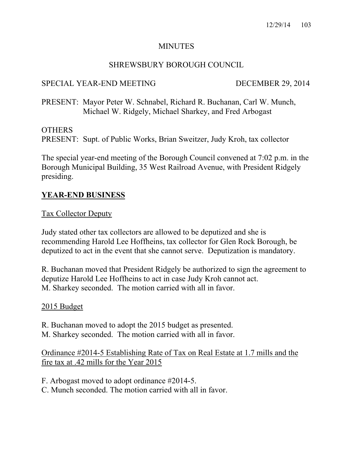### MINUTES

## SHREWSBURY BOROUGH COUNCIL

## SPECIAL YEAR-END MEETING DECEMBER 29, 2014

PRESENT: Mayor Peter W. Schnabel, Richard R. Buchanan, Carl W. Munch, Michael W. Ridgely, Michael Sharkey, and Fred Arbogast

## OTHERS

PRESENT: Supt. of Public Works, Brian Sweitzer, Judy Kroh, tax collector

The special year-end meeting of the Borough Council convened at 7:02 p.m. in the Borough Municipal Building, 35 West Railroad Avenue, with President Ridgely presiding.

## **YEAR-END BUSINESS**

#### Tax Collector Deputy

Judy stated other tax collectors are allowed to be deputized and she is recommending Harold Lee Hoffheins, tax collector for Glen Rock Borough, be deputized to act in the event that she cannot serve. Deputization is mandatory.

R. Buchanan moved that President Ridgely be authorized to sign the agreement to deputize Harold Lee Hoffheins to act in case Judy Kroh cannot act. M. Sharkey seconded. The motion carried with all in favor.

#### 2015 Budget

R. Buchanan moved to adopt the 2015 budget as presented. M. Sharkey seconded. The motion carried with all in favor.

Ordinance #2014-5 Establishing Rate of Tax on Real Estate at 1.7 mills and the fire tax at .42 mills for the Year 2015

F. Arbogast moved to adopt ordinance #2014-5.

C. Munch seconded. The motion carried with all in favor.